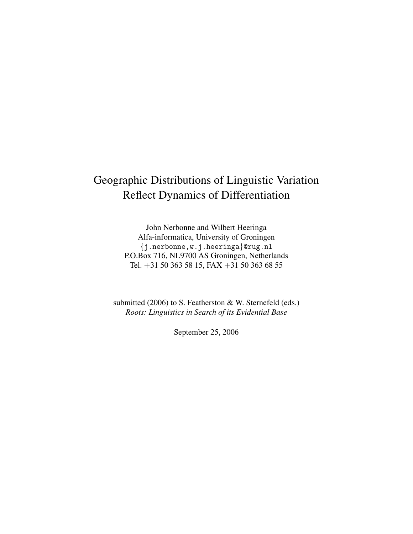# Geographic Distributions of Linguistic Variation Reflect Dynamics of Differentiation

John Nerbonne and Wilbert Heeringa Alfa-informatica, University of Groningen {j.nerbonne,w.j.heeringa}@rug.nl P.O.Box 716, NL9700 AS Groningen, Netherlands Tel. +31 50 363 58 15, FAX +31 50 363 68 55

submitted (2006) to S. Featherston & W. Sternefeld (eds.) *Roots: Linguistics in Search of its Evidential Base*

September 25, 2006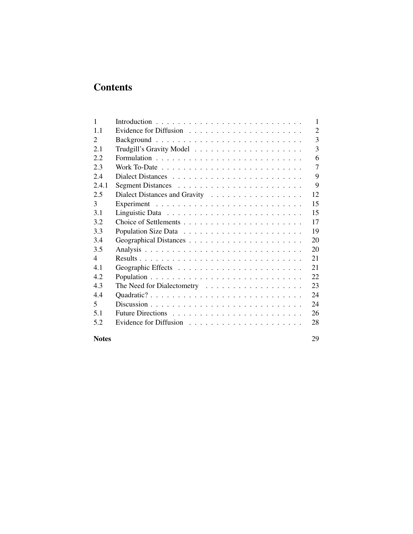| $\mathbf{1}$   |                                                                               | $\mathbf{1}$   |
|----------------|-------------------------------------------------------------------------------|----------------|
| 1.1            |                                                                               | $\overline{2}$ |
| 2              |                                                                               | $\overline{3}$ |
| 2.1            |                                                                               | 3              |
| 2.2            |                                                                               | 6              |
| 2.3            | Work To-Date $\ldots \ldots \ldots \ldots \ldots \ldots \ldots \ldots \ldots$ | 7              |
| 2.4            |                                                                               | 9              |
| 2.4.1          |                                                                               | 9              |
| 2.5            | Dialect Distances and Gravity                                                 | 12             |
| 3              |                                                                               | 15             |
| 3.1            |                                                                               | 15             |
| 3.2            |                                                                               | 17             |
| 3.3            |                                                                               | 19             |
| 3.4            |                                                                               | 20             |
| 3.5            |                                                                               | 20             |
| $\overline{4}$ |                                                                               | 21             |
| 4.1            |                                                                               | 21             |
| 4.2            |                                                                               | 22             |
| 4.3            |                                                                               | 23             |
| 4.4            |                                                                               | 24             |
| 5              |                                                                               | 24             |
| 5.1            |                                                                               | 26             |
| 5.2            |                                                                               | 28             |
| <b>Notes</b>   |                                                                               | 29             |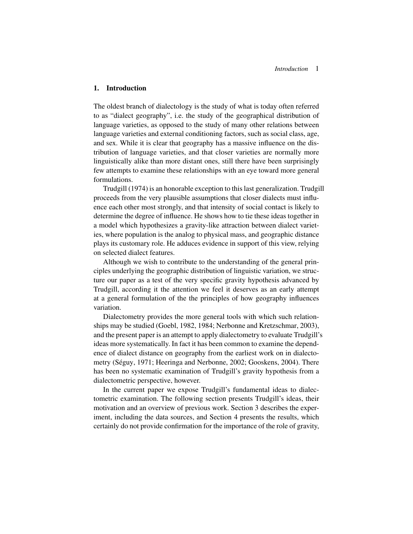### <span id="page-4-0"></span>1. Introduction

The oldest branch of dialectology is the study of what is today often referred to as "dialect geography", i.e. the study of the geographical distribution of language varieties, as opposed to the study of many other relations between language varieties and external conditioning factors, such as social class, age, and sex. While it is clear that geography has a massive influence on the distribution of language varieties, and that closer varieties are normally more linguistically alike than more distant ones, still there have been surprisingly few attempts to examine these relationships with an eye toward more general formulations.

[Trudgill](#page-37-0) [\(1974\)](#page-37-0) is an honorable exception to this last generalization. Trudgill proceeds from the very plausible assumptions that closer dialects must influence each other most strongly, and that intensity of social contact is likely to determine the degree of influence. He shows how to tie these ideas together in a model which hypothesizes a gravity-like attraction between dialect varieties, where population is the analog to physical mass, and geographic distance plays its customary role. He adduces evidence in support of this view, relying on selected dialect features.

Although we wish to contribute to the understanding of the general principles underlying the geographic distribution of linguistic variation, we structure our paper as a test of the very specific gravity hypothesis advanced by Trudgill, according it the attention we feel it deserves as an early attempt at a general formulation of the the principles of how geography influences variation.

Dialectometry provides the more general tools with which such relationships may be studied [\(Goebl,](#page-34-0) [1982,](#page-34-0) [1984;](#page-34-1) [Nerbonne and Kretzschmar,](#page-36-0) [2003\)](#page-36-0), and the present paper is an attempt to apply dialectometry to evaluate Trudgill's ideas more systematically. In fact it has been common to examine the dependence of dialect distance on geography from the earliest work on in dialecto-metry (Séguy, [1971;](#page-36-1) [Heeringa and Nerbonne,](#page-35-0) [2002;](#page-35-0) [Gooskens,](#page-35-1) [2004\)](#page-35-1). There has been no systematic examination of Trudgill's gravity hypothesis from a dialectometric perspective, however.

In the current paper we expose Trudgill's fundamental ideas to dialectometric examination. The following section presents Trudgill's ideas, their motivation and an overview of previous work. Section [3](#page-18-0) describes the experiment, including the data sources, and Section [4](#page-24-0) presents the results, which certainly do not provide confirmation for the importance of the role of gravity,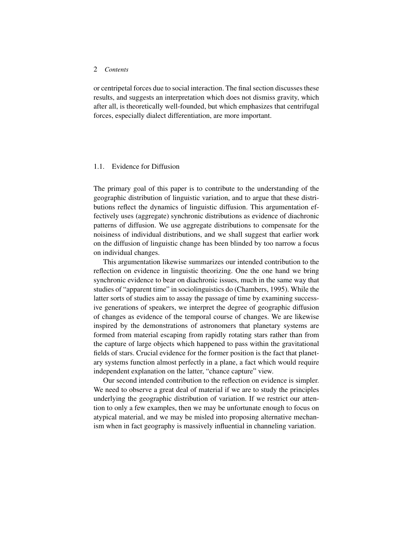or centripetal forces due to social interaction. The final section discusses these results, and suggests an interpretation which does not dismiss gravity, which after all, is theoretically well-founded, but which emphasizes that centrifugal forces, especially dialect differentiation, are more important.

### <span id="page-5-0"></span>1.1. Evidence for Diffusion

The primary goal of this paper is to contribute to the understanding of the geographic distribution of linguistic variation, and to argue that these distributions reflect the dynamics of linguistic diffusion. This argumentation effectively uses (aggregate) synchronic distributions as evidence of diachronic patterns of diffusion. We use aggregate distributions to compensate for the noisiness of individual distributions, and we shall suggest that earlier work on the diffusion of linguistic change has been blinded by too narrow a focus on individual changes.

This argumentation likewise summarizes our intended contribution to the reflection on evidence in linguistic theorizing. One the one hand we bring synchronic evidence to bear on diachronic issues, much in the same way that studies of "apparent time" in sociolinguistics do [\(Chambers,](#page-34-2) [1995\)](#page-34-2). While the latter sorts of studies aim to assay the passage of time by examining successive generations of speakers, we interpret the degree of geographic diffusion of changes as evidence of the temporal course of changes. We are likewise inspired by the demonstrations of astronomers that planetary systems are formed from material escaping from rapidly rotating stars rather than from the capture of large objects which happened to pass within the gravitational fields of stars. Crucial evidence for the former position is the fact that planetary systems function almost perfectly in a plane, a fact which would require independent explanation on the latter, "chance capture" view.

Our second intended contribution to the reflection on evidence is simpler. We need to observe a great deal of material if we are to study the principles underlying the geographic distribution of variation. If we restrict our attention to only a few examples, then we may be unfortunate enough to focus on atypical material, and we may be misled into proposing alternative mechanism when in fact geography is massively influential in channeling variation.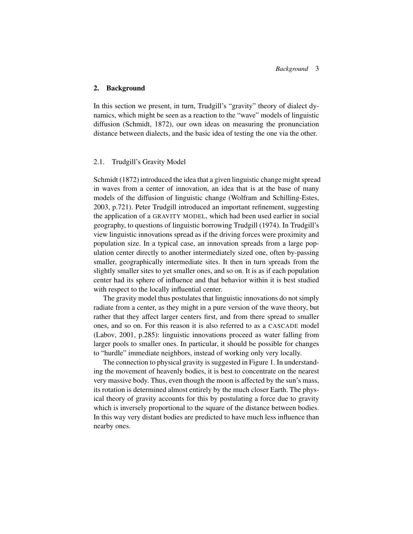### <span id="page-6-0"></span>2. Background

In this section we present, in turn, Trudgill's "gravity" theory of dialect dynamics, which might be seen as a reaction to the "wave" models of linguistic diffusion [\(Schmidt,](#page-36-2) [1872\)](#page-36-2), our own ideas on measuring the pronunciation distance between dialects, and the basic idea of testing the one via the other.

#### <span id="page-6-1"></span>2.1. Trudgill's Gravity Model

[Schmidt](#page-36-2) [\(1872\)](#page-36-2) introduced the idea that a given linguistic change might spread in waves from a center of innovation, an idea that is at the base of many models of the diffusion of linguistic change [\(Wolfram and Schilling-Estes,](#page-37-1) [2003,](#page-37-1) p.721). Peter Trudgill introduced an important refinement, suggesting the application of a GRAVITY MODEL, which had been used earlier in social geography, to questions of linguistic borrowing [Trudgill](#page-37-0) [\(1974\)](#page-37-0). In Trudgill's view linguistic innovations spread as if the driving forces were proximity and population size. In a typical case, an innovation spreads from a large population center directly to another intermediately sized one, often by-passing smaller, geographically intermediate sites. It then in turn spreads from the slightly smaller sites to yet smaller ones, and so on. It is as if each population center had its sphere of influence and that behavior within it is best studied with respect to the locally influential center.

The gravity model thus postulates that linguistic innovations do not simply radiate from a center, as they might in a pure version of the wave theory, but rather that they affect larger centers first, and from there spread to smaller ones, and so on. For this reason it is also referred to as a CASCADE model [\(Labov,](#page-35-2) [2001,](#page-35-2) p.285): linguistic innovations proceed as water falling from larger pools to smaller ones. In particular, it should be possible for changes to "hurdle" immediate neighbors, instead of working only very locally.

The connection to physical gravity is suggested in Figure [1.](#page-7-0) In understanding the movement of heavenly bodies, it is best to concentrate on the nearest very massive body. Thus, even though the moon is affected by the sun's mass, its rotation is determined almost entirely by the much closer Earth. The physical theory of gravity accounts for this by postulating a force due to gravity which is inversely proportional to the square of the distance between bodies. In this way very distant bodies are predicted to have much less influence than nearby ones.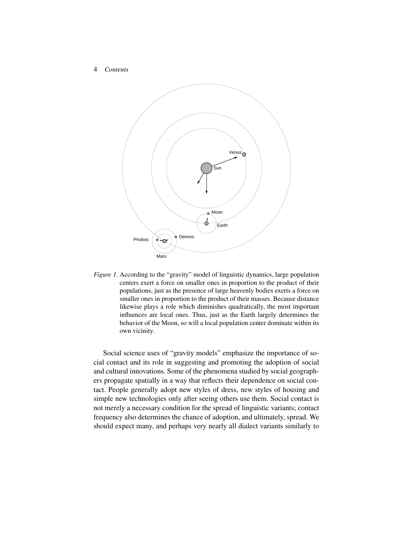

<span id="page-7-0"></span>*Figure 1.* According to the "gravity" model of linguistic dynamics, large population centers exert a force on smaller ones in proportion to the product of their populations, just as the presence of large heavenly bodies exerts a force on smaller ones in proportion to the product of their masses. Because distance likewise plays a role which diminishes quadratically, the most important influences are local ones. Thus, just as the Earth largely determines the behavior of the Moon, so will a local population center dominate within its own vicinity.

Social science uses of "gravity models" emphasize the importance of social contact and its role in suggesting and promoting the adoption of social and cultural innovations. Some of the phenomena studied by social geographers propagate spatially in a way that reflects their dependence on social contact. People generally adopt new styles of dress, new styles of housing and simple new technologies only after seeing others use them. Social contact is not merely a necessary condition for the spread of linguistic variants; contact frequency also determines the chance of adoption, and ultimately, spread. We should expect many, and perhaps very nearly all dialect variants similarly to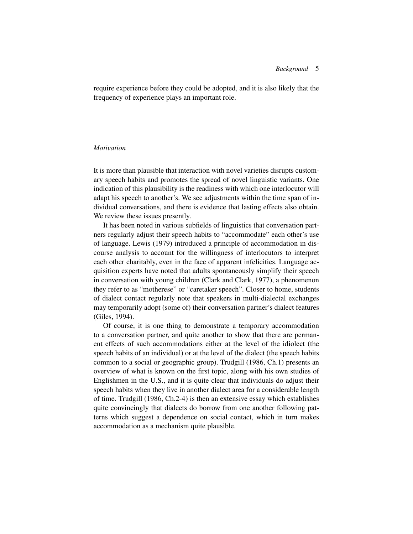require experience before they could be adopted, and it is also likely that the frequency of experience plays an important role.

### *Motivation*

<span id="page-8-0"></span>It is more than plausible that interaction with novel varieties disrupts customary speech habits and promotes the spread of novel linguistic variants. One indication of this plausibility is the readiness with which one interlocutor will adapt his speech to another's. We see adjustments within the time span of individual conversations, and there is evidence that lasting effects also obtain. We review these issues presently.

It has been noted in various subfields of linguistics that conversation partners regularly adjust their speech habits to "accommodate" each other's use of language. [Lewis](#page-36-3) [\(1979\)](#page-36-3) introduced a principle of accommodation in discourse analysis to account for the willingness of interlocutors to interpret each other charitably, even in the face of apparent infelicities. Language acquisition experts have noted that adults spontaneously simplify their speech in conversation with young children [\(Clark and Clark,](#page-34-3) [1977\)](#page-34-3), a phenomenon they refer to as "motherese" or "caretaker speech". Closer to home, students of dialect contact regularly note that speakers in multi-dialectal exchanges may temporarily adopt (some of) their conversation partner's dialect features [\(Giles,](#page-34-4) [1994\)](#page-34-4).

Of course, it is one thing to demonstrate a temporary accommodation to a conversation partner, and quite another to show that there are permanent effects of such accommodations either at the level of the idiolect (the speech habits of an individual) or at the level of the dialect (the speech habits common to a social or geographic group). [Trudgill](#page-37-2) [\(1986,](#page-37-2) Ch.1) presents an overview of what is known on the first topic, along with his own studies of Englishmen in the U.S., and it is quite clear that individuals do adjust their speech habits when they live in another dialect area for a considerable length of time. [Trudgill](#page-37-2) [\(1986,](#page-37-2) Ch.2-4) is then an extensive essay which establishes quite convincingly that dialects do borrow from one another following patterns which suggest a dependence on social contact, which in turn makes accommodation as a mechanism quite plausible.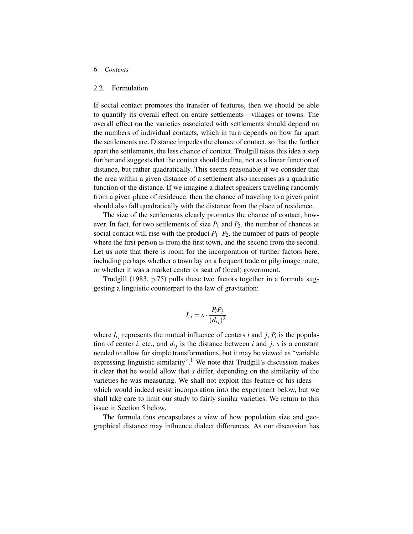#### <span id="page-9-0"></span>2.2. Formulation

If social contact promotes the transfer of features, then we should be able to quantify its overall effect on entire settlements—villages or towns. The overall effect on the varieties associated with settlements should depend on the numbers of individual contacts, which in turn depends on how far apart the settlements are. Distance impedes the chance of contact, so that the further apart the settlements, the less chance of contact. Trudgill takes this idea a step further and suggests that the contact should decline, not as a linear function of distance, but rather quadratically. This seems reasonable if we consider that the area within a given distance of a settlement also increases as a quadratic function of the distance. If we imagine a dialect speakers traveling randomly from a given place of residence, then the chance of traveling to a given point should also fall quadratically with the distance from the place of residence.

The size of the settlements clearly promotes the chance of contact, however. In fact, for two settlements of size  $P_1$  and  $P_2$ , the number of chances at social contact will rise with the product  $P_1 \cdot P_2$ , the number of pairs of people where the first person is from the first town, and the second from the second. Let us note that there is room for the incorporation of further factors here, including perhaps whether a town lay on a frequent trade or pilgrimage route, or whether it was a market center or seat of (local) government.

[Trudgill](#page-37-3) [\(1983,](#page-37-3) p.75) pulls these two factors together in a formula suggesting a linguistic counterpart to the law of gravitation:

$$
I_{ij} = s \cdot \frac{P_i P_j}{(d_{ij})^2}
$$

where  $I_{ij}$  represents the mutual influence of centers *i* and *j*,  $P_i$  is the population of center *i*, etc., and  $d_{ij}$  is the distance between *i* and *j*. *s* is a constant needed to allow for simple transformations, but it may be viewed as "variable expressing linguistic similarity".<sup>1</sup> We note that Trudgill's discussion makes it clear that he would allow that *s* differ, depending on the similarity of the varieties he was measuring. We shall not exploit this feature of his ideas which would indeed resist incorporation into the experiment below, but we shall take care to limit our study to fairly similar varieties. We return to this issue in Section [5](#page-27-1) below.

The formula thus encapsulates a view of how population size and geographical distance may influence dialect differences. As our discussion has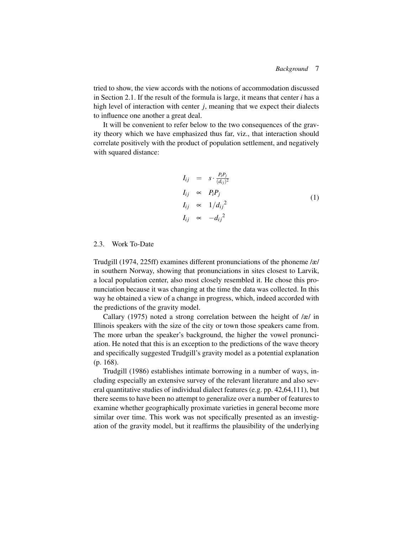tried to show, the view accords with the notions of accommodation discussed in Section [2.1.](#page-8-0) If the result of the formula is large, it means that center *i* has a high level of interaction with center *j*, meaning that we expect their dialects to influence one another a great deal.

It will be convenient to refer below to the two consequences of the gravity theory which we have emphasized thus far, viz., that interaction should correlate positively with the product of population settlement, and negatively with squared distance:

<span id="page-10-1"></span>
$$
I_{ij} = s \cdot \frac{P_i P_j}{(d_{ij})^2}
$$
  
\n
$$
I_{ij} \propto P_i P_j
$$
  
\n
$$
I_{ij} \propto 1/d_{ij}^2
$$
  
\n
$$
I_{ij} \propto -d_{ij}^2
$$
\n(1)

#### <span id="page-10-0"></span>2.3. Work To-Date

[Trudgill](#page-37-0) [\(1974,](#page-37-0) 225ff) examines different pronunciations of the phoneme /æ/ in southern Norway, showing that pronunciations in sites closest to Larvik, a local population center, also most closely resembled it. He chose this pronunciation because it was changing at the time the data was collected. In this way he obtained a view of a change in progress, which, indeed accorded with the predictions of the gravity model.

[Callary](#page-34-5) [\(1975\)](#page-34-5) noted a strong correlation between the height of /æ/ in Illinois speakers with the size of the city or town those speakers came from. The more urban the speaker's background, the higher the vowel pronunciation. He noted that this is an exception to the predictions of the wave theory and specifically suggested Trudgill's gravity model as a potential explanation (p. 168).

[Trudgill](#page-37-2) [\(1986\)](#page-37-2) establishes intimate borrowing in a number of ways, including especially an extensive survey of the relevant literature and also several quantitative studies of individual dialect features (e.g. pp. 42,64,111), but there seems to have been no attempt to generalize over a number of features to examine whether geographically proximate varieties in general become more similar over time. This work was not specifically presented as an investigation of the gravity model, but it reaffirms the plausibility of the underlying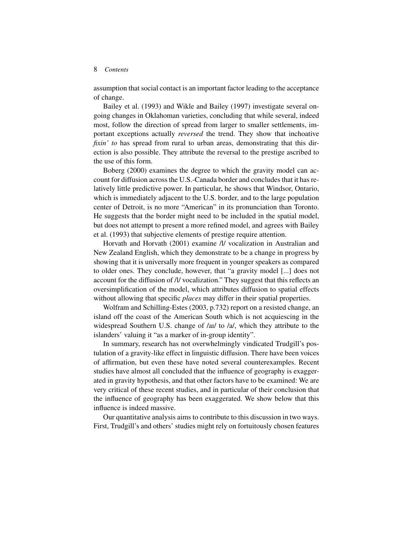assumption that social contact is an important factor leading to the acceptance of change.

[Bailey et al.](#page-34-6) [\(1993\)](#page-34-6) and [Wikle and Bailey](#page-37-4) [\(1997\)](#page-37-4) investigate several ongoing changes in Oklahoman varieties, concluding that while several, indeed most, follow the direction of spread from larger to smaller settlements, important exceptions actually *reversed* the trend. They show that inchoative *fixin' to* has spread from rural to urban areas, demonstrating that this direction is also possible. They attribute the reversal to the prestige ascribed to the use of this form.

[Boberg](#page-34-7) [\(2000\)](#page-34-7) examines the degree to which the gravity model can account for diffusion across the U.S.-Canada border and concludes that it has relatively little predictive power. In particular, he shows that Windsor, Ontario, which is immediately adjacent to the U.S. border, and to the large population center of Detroit, is no more "American" in its pronunciation than Toronto. He suggests that the border might need to be included in the spatial model, but does not attempt to present a more refined model, and agrees with Bailey et al. (1993) that subjective elements of prestige require attention.

[Horvath and Horvath](#page-35-3) [\(2001\)](#page-35-3) examine /l/ vocalization in Australian and New Zealand English, which they demonstrate to be a change in progress by showing that it is universally more frequent in younger speakers as compared to older ones. They conclude, however, that "a gravity model [...] does not account for the diffusion of /l/ vocalization." They suggest that this reflects an oversimplification of the model, which attributes diffusion to spatial effects without allowing that specific *places* may differ in their spatial properties.

[Wolfram and Schilling-Estes](#page-37-1) [\(2003,](#page-37-1) p.732) report on a resisted change, an island off the coast of the American South which is not acquiescing in the widespread Southern U.S. change of /aɪ/ to /a/, which they attribute to the islanders' valuing it "as a marker of in-group identity".

In summary, research has not overwhelmingly vindicated Trudgill's postulation of a gravity-like effect in linguistic diffusion. There have been voices of affirmation, but even these have noted several counterexamples. Recent studies have almost all concluded that the influence of geography is exaggerated in gravity hypothesis, and that other factors have to be examined: We are very critical of these recent studies, and in particular of their conclusion that the influence of geography has been exaggerated. We show below that this influence is indeed massive.

Our quantitative analysis aims to contribute to this discussion in two ways. First, Trudgill's and others' studies might rely on fortuitously chosen features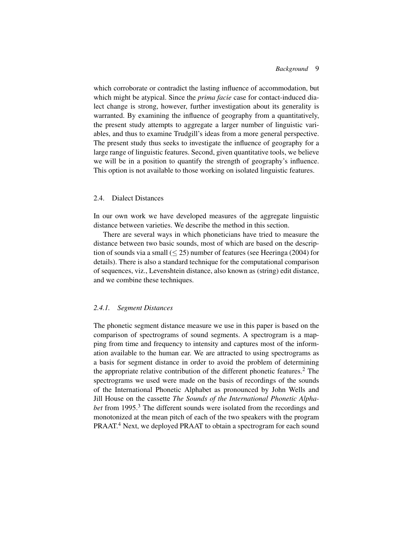which corroborate or contradict the lasting influence of accommodation, but which might be atypical. Since the *prima facie* case for contact-induced dialect change is strong, however, further investigation about its generality is warranted. By examining the influence of geography from a quantitatively, the present study attempts to aggregate a larger number of linguistic variables, and thus to examine Trudgill's ideas from a more general perspective. The present study thus seeks to investigate the influence of geography for a large range of linguistic features. Second, given quantitative tools, we believe we will be in a position to quantify the strength of geography's influence. This option is not available to those working on isolated linguistic features.

### <span id="page-12-0"></span>2.4. Dialect Distances

In our own work we have developed measures of the aggregate linguistic distance between varieties. We describe the method in this section.

There are several ways in which phoneticians have tried to measure the distance between two basic sounds, most of which are based on the description of sounds via a small  $(< 25$ ) number of features (see [Heeringa](#page-35-4) [\(2004\)](#page-35-4) for details). There is also a standard technique for the computational comparison of sequences, viz., Levenshtein distance, also known as (string) edit distance, and we combine these techniques.

### <span id="page-12-1"></span>*2.4.1. Segment Distances*

The phonetic segment distance measure we use in this paper is based on the comparison of spectrograms of sound segments. A spectrogram is a mapping from time and frequency to intensity and captures most of the information available to the human ear. We are attracted to using spectrograms as a basis for segment distance in order to avoid the problem of determining the appropriate relative contribution of the different phonetic features.<sup>2</sup> The spectrograms we used were made on the basis of recordings of the sounds of the International Phonetic Alphabet as pronounced by John Wells and Jill House on the cassette *The Sounds of the International Phonetic Alpha*bet from 1995.<sup>3</sup> The different sounds were isolated from the recordings and monotonized at the mean pitch of each of the two speakers with the program PRAAT.<sup>4</sup> Next, we deployed PRAAT to obtain a spectrogram for each sound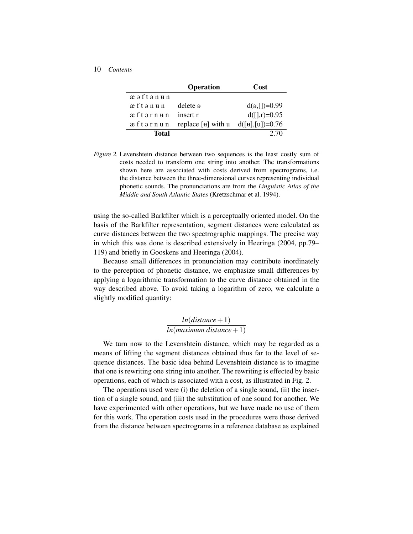|                       | <b>Operation</b>     | Cost              |
|-----------------------|----------------------|-------------------|
| æəftən <del>u</del> n |                      |                   |
| æftən <del>u</del> n  | delete ə             | $d(a,[})=0.99$    |
| æftərn <del>u</del> n | insert r             | $d([l,r)=0.95$    |
| æftərnun              | replace $[u]$ with u | $d([u],[u])=0.76$ |
| Total                 |                      | 2.70              |

<span id="page-13-0"></span>*Figure 2.* Levenshtein distance between two sequences is the least costly sum of costs needed to transform one string into another. The transformations shown here are associated with costs derived from spectrograms, i.e. the distance between the three-dimensional curves representing individual phonetic sounds. The pronunciations are from the *Linguistic Atlas of the Middle and South Atlantic States* (Kretzschmar et al. 1994).

using the so-called Barkfilter which is a perceptually oriented model. On the basis of the Barkfilter representation, segment distances were calculated as curve distances between the two spectrographic mappings. The precise way in which this was done is described extensively in [Heeringa](#page-35-4) [\(2004,](#page-35-4) pp.79– 119) and briefly in [Gooskens and Heeringa](#page-35-5) [\(2004\)](#page-35-5).

Because small differences in pronunciation may contribute inordinately to the perception of phonetic distance, we emphasize small differences by applying a logarithmic transformation to the curve distance obtained in the way described above. To avoid taking a logarithm of zero, we calculate a slightly modified quantity:

> *ln*(*distance*+1) *ln*(*maximum distance*+1)

We turn now to the Levenshtein distance, which may be regarded as a means of lifting the segment distances obtained thus far to the level of sequence distances. The basic idea behind Levenshtein distance is to imagine that one is rewriting one string into another. The rewriting is effected by basic operations, each of which is associated with a cost, as illustrated in Fig. [2.](#page-13-0)

The operations used were (i) the deletion of a single sound, (ii) the insertion of a single sound, and (iii) the substitution of one sound for another. We have experimented with other operations, but we have made no use of them for this work. The operation costs used in the procedures were those derived from the distance between spectrograms in a reference database as explained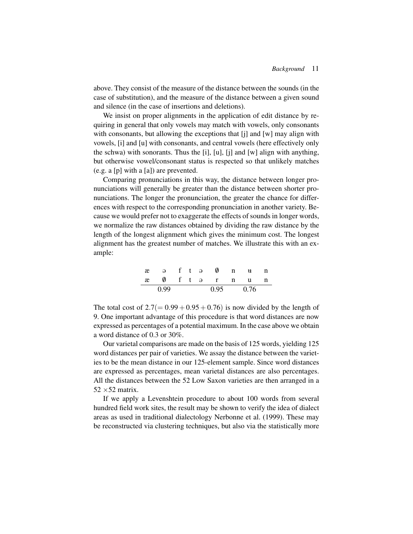above. They consist of the measure of the distance between the sounds (in the case of substitution), and the measure of the distance between a given sound and silence (in the case of insertions and deletions).

We insist on proper alignments in the application of edit distance by requiring in general that only vowels may match with vowels, only consonants with consonants, but allowing the exceptions that [j] and [w] may align with vowels, [i] and [u] with consonants, and central vowels (here effectively only the schwa) with sonorants. Thus the [i], [u], [j] and [w] align with anything, but otherwise vowel/consonant status is respected so that unlikely matches (e.g. a [p] with a [a]) are prevented.

Comparing pronunciations in this way, the distance between longer pronunciations will generally be greater than the distance between shorter pronunciations. The longer the pronunciation, the greater the chance for differences with respect to the corresponding pronunciation in another variety. Because we would prefer not to exaggerate the effects of sounds in longer words, we normalize the raw distances obtained by dividing the raw distance by the length of the longest alignment which gives the minimum cost. The longest alignment has the greatest number of matches. We illustrate this with an example:

| æ | $\Theta$                   | t | $\Theta$ | Ø    | n | Ħ    | n |
|---|----------------------------|---|----------|------|---|------|---|
| æ | $\boldsymbol{\varnothing}$ |   | f t ə    | r    | n | u    | n |
|   | 0.99                       |   |          | 0.95 |   | 0.76 |   |

The total cost of  $2.7(= 0.99 + 0.95 + 0.76)$  is now divided by the length of 9. One important advantage of this procedure is that word distances are now expressed as percentages of a potential maximum. In the case above we obtain a word distance of 0.3 or 30%.

Our varietal comparisons are made on the basis of 125 words, yielding 125 word distances per pair of varieties. We assay the distance between the varieties to be the mean distance in our 125-element sample. Since word distances are expressed as percentages, mean varietal distances are also percentages. All the distances between the 52 Low Saxon varieties are then arranged in a  $52 \times 52$  matrix.

If we apply a Levenshtein procedure to about 100 words from several hundred field work sites, the result may be shown to verify the idea of dialect areas as used in traditional dialectology [Nerbonne et al.](#page-36-4) [\(1999\)](#page-36-4). These may be reconstructed via clustering techniques, but also via the statistically more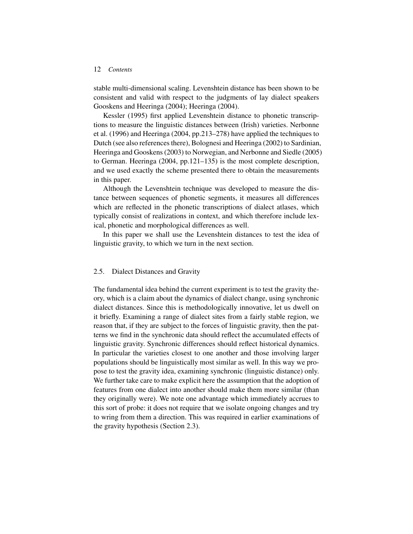stable multi-dimensional scaling. Levenshtein distance has been shown to be consistent and valid with respect to the judgments of lay dialect speakers [Gooskens and Heeringa](#page-35-5) [\(2004\)](#page-35-5); [Heeringa](#page-35-4) [\(2004\)](#page-35-4).

[Kessler](#page-35-6) [\(1995\)](#page-35-6) first applied Levenshtein distance to phonetic transcriptions to measure the linguistic distances between (Irish) varieties. [Nerbonne](#page-36-5) [et al.](#page-36-5) [\(1996\)](#page-36-5) and [Heeringa](#page-35-4) [\(2004,](#page-35-4) pp.213–278) have applied the techniques to Dutch (see also references there), [Bolognesi and Heeringa](#page-34-8) [\(2002\)](#page-34-8) to Sardinian, [Heeringa and Gooskens\(2003\)](#page-35-7) to Norwegian, and [Nerbonne and Siedle](#page-36-6) [\(2005\)](#page-36-6) to German. [Heeringa](#page-35-4) [\(2004,](#page-35-4) pp.121–135) is the most complete description, and we used exactly the scheme presented there to obtain the measurements in this paper.

Although the Levenshtein technique was developed to measure the distance between sequences of phonetic segments, it measures all differences which are reflected in the phonetic transcriptions of dialect atlases, which typically consist of realizations in context, and which therefore include lexical, phonetic and morphological differences as well.

In this paper we shall use the Levenshtein distances to test the idea of linguistic gravity, to which we turn in the next section.

#### <span id="page-15-0"></span>2.5. Dialect Distances and Gravity

The fundamental idea behind the current experiment is to test the gravity theory, which is a claim about the dynamics of dialect change, using synchronic dialect distances. Since this is methodologically innovative, let us dwell on it briefly. Examining a range of dialect sites from a fairly stable region, we reason that, if they are subject to the forces of linguistic gravity, then the patterns we find in the synchronic data should reflect the accumulated effects of linguistic gravity. Synchronic differences should reflect historical dynamics. In particular the varieties closest to one another and those involving larger populations should be linguistically most similar as well. In this way we propose to test the gravity idea, examining synchronic (linguistic distance) only. We further take care to make explicit here the assumption that the adoption of features from one dialect into another should make them more similar (than they originally were). We note one advantage which immediately accrues to this sort of probe: it does not require that we isolate ongoing changes and try to wring from them a direction. This was required in earlier examinations of the gravity hypothesis (Section [2.3\)](#page-10-0).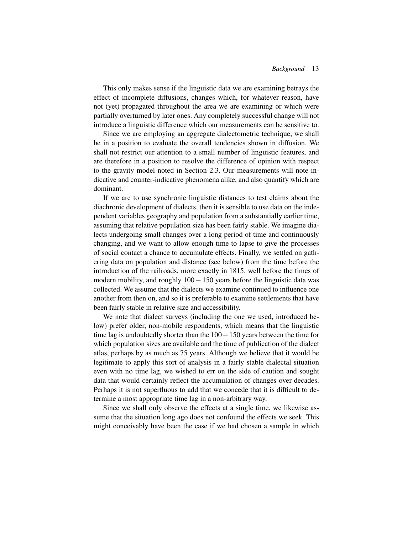This only makes sense if the linguistic data we are examining betrays the effect of incomplete diffusions, changes which, for whatever reason, have not (yet) propagated throughout the area we are examining or which were partially overturned by later ones. Any completely successful change will not introduce a linguistic difference which our measurements can be sensitive to.

Since we are employing an aggregate dialectometric technique, we shall be in a position to evaluate the overall tendencies shown in diffusion. We shall not restrict our attention to a small number of linguistic features, and are therefore in a position to resolve the difference of opinion with respect to the gravity model noted in Section [2.3.](#page-10-0) Our measurements will note indicative and counter-indicative phenomena alike, and also quantify which are dominant.

If we are to use synchronic linguistic distances to test claims about the diachronic development of dialects, then it is sensible to use data on the independent variables geography and population from a substantially earlier time, assuming that relative population size has been fairly stable. We imagine dialects undergoing small changes over a long period of time and continuously changing, and we want to allow enough time to lapse to give the processes of social contact a chance to accumulate effects. Finally, we settled on gathering data on population and distance (see below) from the time before the introduction of the railroads, more exactly in 1815, well before the times of modern mobility, and roughly 100 − 150 years before the linguistic data was collected. We assume that the dialects we examine continued to influence one another from then on, and so it is preferable to examine settlements that have been fairly stable in relative size and accessibility.

We note that dialect surveys (including the one we used, introduced below) prefer older, non-mobile respondents, which means that the linguistic time lag is undoubtedly shorter than the 100−150 years between the time for which population sizes are available and the time of publication of the dialect atlas, perhaps by as much as 75 years. Although we believe that it would be legitimate to apply this sort of analysis in a fairly stable dialectal situation even with no time lag, we wished to err on the side of caution and sought data that would certainly reflect the accumulation of changes over decades. Perhaps it is not superfluous to add that we concede that it is difficult to determine a most appropriate time lag in a non-arbitrary way.

Since we shall only observe the effects at a single time, we likewise assume that the situation long ago does not confound the effects we seek. This might conceivably have been the case if we had chosen a sample in which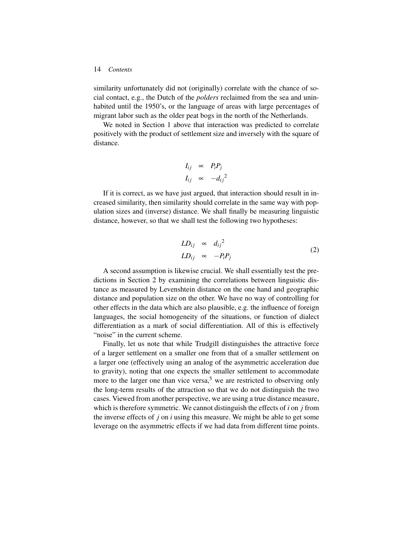similarity unfortunately did not (originally) correlate with the chance of social contact, e.g., the Dutch of the *polders* reclaimed from the sea and uninhabited until the 1950's, or the language of areas with large percentages of migrant labor such as the older peat bogs in the north of the Netherlands.

We noted in Section [1](#page-10-1) above that interaction was predicted to correlate positively with the product of settlement size and inversely with the square of distance.

$$
I_{ij} \propto P_i P_j
$$
  

$$
I_{ij} \propto -d_{ij}^2
$$

If it is correct, as we have just argued, that interaction should result in increased similarity, then similarity should correlate in the same way with population sizes and (inverse) distance. We shall finally be measuring linguistic distance, however, so that we shall test the following two hypotheses:

<span id="page-17-0"></span>
$$
LD_{ij} \propto d_{ij}^{2}
$$
  
\n
$$
LD_{ij} \propto -P_{i}P_{j}
$$
\n(2)

A second assumption is likewise crucial. We shall essentially test the predictions in Section [2](#page-17-0) by examining the correlations between linguistic distance as measured by Levenshtein distance on the one hand and geographic distance and population size on the other. We have no way of controlling for other effects in the data which are also plausible, e.g. the influence of foreign languages, the social homogeneity of the situations, or function of dialect differentiation as a mark of social differentiation. All of this is effectively "noise" in the current scheme.

Finally, let us note that while Trudgill distinguishes the attractive force of a larger settlement on a smaller one from that of a smaller settlement on a larger one (effectively using an analog of the asymmetric acceleration due to gravity), noting that one expects the smaller settlement to accommodate more to the larger one than vice versa,<sup>5</sup> we are restricted to observing only the long-term results of the attraction so that we do not distinguish the two cases. Viewed from another perspective, we are using a true distance measure, which is therefore symmetric. We cannot distinguish the effects of *i* on *j* from the inverse effects of *j* on *i* using this measure. We might be able to get some leverage on the asymmetric effects if we had data from different time points.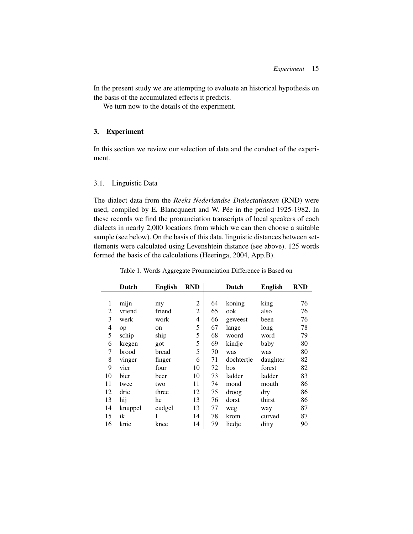In the present study we are attempting to evaluate an historical hypothesis on the basis of the accumulated effects it predicts.

We turn now to the details of the experiment.

### <span id="page-18-0"></span>3. Experiment

In this section we review our selection of data and the conduct of the experiment.

### <span id="page-18-1"></span>3.1. Linguistic Data

The dialect data from the *Reeks Nederlandse Dialectatlassen* (RND) were used, compiled by E. Blancquaert and W. Pée in the period 1925-1982. In these records we find the pronunciation transcripts of local speakers of each dialects in nearly 2,000 locations from which we can then choose a suitable sample (see below). On the basis of this data, linguistic distances between settlements were calculated using Levenshtein distance (see above). 125 words formed the basis of the calculations [\(Heeringa,](#page-35-4) [2004,](#page-35-4) App.B).

|    | Dutch   | <b>English</b> | <b>RND</b>     |    | Dutch      | <b>English</b> | <b>RND</b> |
|----|---------|----------------|----------------|----|------------|----------------|------------|
|    |         |                |                |    |            |                |            |
| 1  | mijn    | my             | $\overline{c}$ | 64 | koning     | king           | 76         |
| 2  | vriend  | friend         | $\overline{2}$ | 65 | ook        | also           | 76         |
| 3  | werk    | work           | 4              | 66 | geweest    | been           | 76         |
| 4  | op      | on             | 5              | 67 | lange      | long           | 78         |
| 5  | schip   | ship           | 5              | 68 | woord      | word           | 79         |
| 6  | kregen  | got            | 5              | 69 | kindje     | baby           | 80         |
| 7  | brood   | bread          | 5              | 70 | was        | was            | 80         |
| 8  | vinger  | finger         | 6              | 71 | dochtertje | daughter       | 82         |
| 9  | vier    | four           | 10             | 72 | bos        | forest         | 82         |
| 10 | bier    | beer           | 10             | 73 | ladder     | ladder         | 83         |
| 11 | twee    | two            | 11             | 74 | mond       | mouth          | 86         |
| 12 | drie    | three          | 12             | 75 | droog      | dry            | 86         |
| 13 | hij     | he             | 13             | 76 | dorst      | thirst         | 86         |
| 14 | knuppel | cudgel         | 13             | 77 | weg        | way            | 87         |
| 15 | ik      |                | 14             | 78 | krom       | curved         | 87         |
| 16 | knie    | knee           | 14             | 79 | liedje     | ditty          | 90         |

Table 1. Words Aggregate Pronunciation Difference is Based on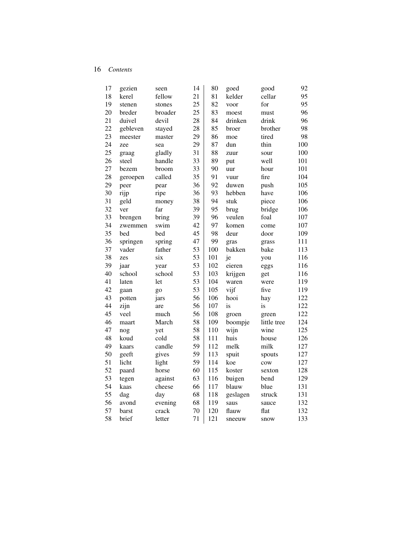| 17 | gezien   | seen    | 14 | 80  | goed     | good        | 92  |
|----|----------|---------|----|-----|----------|-------------|-----|
| 18 | kerel    | fellow  | 21 | 81  | kelder   | cellar      | 95  |
| 19 | stenen   | stones  | 25 | 82  | voor     | for         | 95  |
| 20 | breder   | broader | 25 | 83  | moest    | must        | 96  |
| 21 | duivel   | devil   | 28 | 84  | drinken  | drink       | 96  |
| 22 | gebleven | stayed  | 28 | 85  | broer    | brother     | 98  |
| 23 | meester  | master  | 29 | 86  | moe      | tired       | 98  |
| 24 | zee      | sea     | 29 | 87  | dun      | thin        | 100 |
| 25 | graag    | gladly  | 31 | 88  | zuur     | sour        | 100 |
| 26 | steel    | handle  | 33 | 89  | put      | well        | 101 |
| 27 | bezem    | broom   | 33 | 90  | uur      | hour        | 101 |
| 28 | geroepen | called  | 35 | 91  | vuur     | fire        | 104 |
| 29 | peer     | pear    | 36 | 92  | duwen    | push        | 105 |
| 30 | rijp     | ripe    | 36 | 93  | hebben   | have        | 106 |
| 31 | geld     | money   | 38 | 94  | stuk     | piece       | 106 |
| 32 | ver      | far     | 39 | 95  | brug     | bridge      | 106 |
| 33 | brengen  | bring   | 39 | 96  | veulen   | foal        | 107 |
| 34 | zwemmen  | swim    | 42 | 97  | komen    | come        | 107 |
| 35 | bed      | bed     | 45 | 98  | deur     | door        | 109 |
| 36 | springen | spring  | 47 | 99  | gras     | grass       | 111 |
| 37 | vader    | father  | 53 | 100 | bakken   | bake        | 113 |
| 38 | zes      | six     | 53 | 101 | je       | you         | 116 |
| 39 | jaar     | year    | 53 | 102 | eieren   | eggs        | 116 |
| 40 | school   | school  | 53 | 103 | krijgen  | get         | 116 |
| 41 | laten    | let     | 53 | 104 | waren    | were        | 119 |
| 42 | gaan     | go      | 53 | 105 | vijf     | five        | 119 |
| 43 | potten   | jars    | 56 | 106 | hooi     | hay         | 122 |
| 44 | zijn     | are     | 56 | 107 | is       | is          | 122 |
| 45 | veel     | much    | 56 | 108 | groen    | green       | 122 |
| 46 | maart    | March   | 58 | 109 | boompje  | little tree | 124 |
| 47 | nog      | yet     | 58 | 110 | wijn     | wine        | 125 |
| 48 | koud     | cold    | 58 | 111 | huis     | house       | 126 |
| 49 | kaars    | candle  | 59 | 112 | melk     | milk        | 127 |
| 50 | geeft    | gives   | 59 | 113 | spuit    | spouts      | 127 |
| 51 | licht    | light   | 59 | 114 | koe      | cow         | 127 |
| 52 | paard    | horse   | 60 | 115 | koster   | sexton      | 128 |
| 53 | tegen    | against | 63 | 116 | buigen   | bend        | 129 |
| 54 | kaas     | cheese  | 66 | 117 | blauw    | blue        | 131 |
| 55 | dag      | day     | 68 | 118 | geslagen | struck      | 131 |
| 56 | avond    | evening | 68 | 119 | saus     | sauce       | 132 |
| 57 | barst    | crack   | 70 | 120 | flauw    | flat        | 132 |
| 58 | brief    | letter  | 71 | 121 | sneeuw   | snow        | 133 |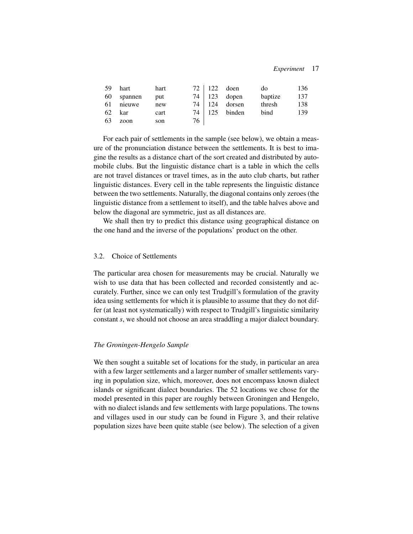| -59 | hart    | hart |    | $72 \mid 122$ doen |                      | do      | 136 |
|-----|---------|------|----|--------------------|----------------------|---------|-----|
| 60  | spannen | put  |    |                    | $74 \mid 123$ dopen  | baptize | 137 |
| -61 | nieuwe  | new  |    |                    | $74 \mid 124$ dorsen | thresh  | 138 |
| -62 | kar     | cart | 74 | 125                | binden               | bind    | 139 |
| -63 | zoon    | son  | 76 |                    |                      |         |     |

For each pair of settlements in the sample (see below), we obtain a measure of the pronunciation distance between the settlements. It is best to imagine the results as a distance chart of the sort created and distributed by automobile clubs. But the linguistic distance chart is a table in which the cells are not travel distances or travel times, as in the auto club charts, but rather linguistic distances. Every cell in the table represents the linguistic distance between the two settlements. Naturally, the diagonal contains only zeroes (the linguistic distance from a settlement to itself), and the table halves above and below the diagonal are symmetric, just as all distances are.

We shall then try to predict this distance using geographical distance on the one hand and the inverse of the populations' product on the other.

### <span id="page-20-0"></span>3.2. Choice of Settlements

The particular area chosen for measurements may be crucial. Naturally we wish to use data that has been collected and recorded consistently and accurately. Further, since we can only test Trudgill's formulation of the gravity idea using settlements for which it is plausible to assume that they do not differ (at least not systematically) with respect to Trudgill's linguistic similarity constant *s*, we should not choose an area straddling a major dialect boundary.

## *The Groningen-Hengelo Sample*

We then sought a suitable set of locations for the study, in particular an area with a few larger settlements and a larger number of smaller settlements varying in population size, which, moreover, does not encompass known dialect islands or significant dialect boundaries. The 52 locations we chose for the model presented in this paper are roughly between Groningen and Hengelo, with no dialect islands and few settlements with large populations. The towns and villages used in our study can be found in Figure [3,](#page-21-0) and their relative population sizes have been quite stable (see below). The selection of a given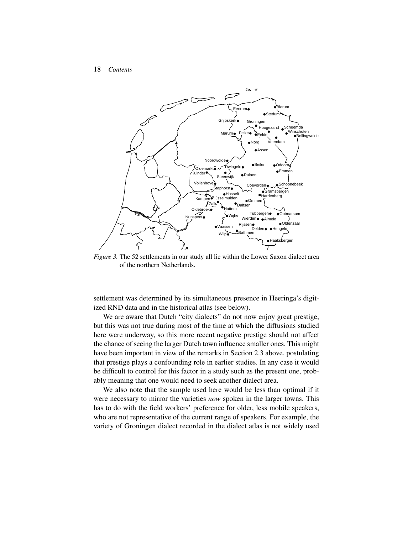

<span id="page-21-0"></span>*Figure 3.* The 52 settlements in our study all lie within the Lower Saxon dialect area of the northern Netherlands.

settlement was determined by its simultaneous presence in Heeringa's digitized RND data and in the historical atlas (see below).

We are aware that Dutch "city dialects" do not now enjoy great prestige, but this was not true during most of the time at which the diffusions studied here were underway, so this more recent negative prestige should not affect the chance of seeing the larger Dutch town influence smaller ones. This might have been important in view of the remarks in Section [2.3](#page-10-0) above, postulating that prestige plays a confounding role in earlier studies. In any case it would be difficult to control for this factor in a study such as the present one, probably meaning that one would need to seek another dialect area.

We also note that the sample used here would be less than optimal if it were necessary to mirror the varieties *now* spoken in the larger towns. This has to do with the field workers' preference for older, less mobile speakers, who are not representative of the current range of speakers. For example, the variety of Groningen dialect recorded in the dialect atlas is not widely used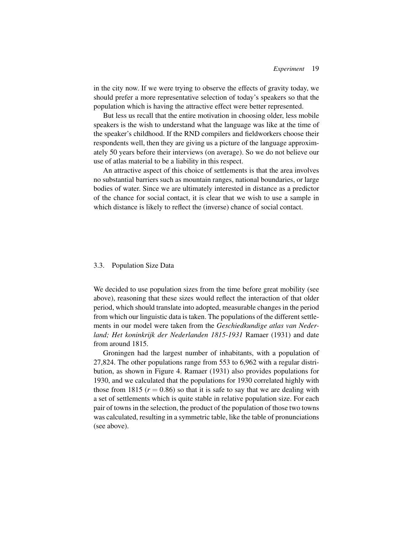in the city now. If we were trying to observe the effects of gravity today, we should prefer a more representative selection of today's speakers so that the population which is having the attractive effect were better represented.

But less us recall that the entire motivation in choosing older, less mobile speakers is the wish to understand what the language was like at the time of the speaker's childhood. If the RND compilers and fieldworkers choose their respondents well, then they are giving us a picture of the language approximately 50 years before their interviews (on average). So we do not believe our use of atlas material to be a liability in this respect.

An attractive aspect of this choice of settlements is that the area involves no substantial barriers such as mountain ranges, national boundaries, or large bodies of water. Since we are ultimately interested in distance as a predictor of the chance for social contact, it is clear that we wish to use a sample in which distance is likely to reflect the (inverse) chance of social contact.

#### <span id="page-22-0"></span>3.3. Population Size Data

We decided to use population sizes from the time before great mobility (see above), reasoning that these sizes would reflect the interaction of that older period, which should translate into adopted, measurable changes in the period from which our linguistic data is taken. The populations of the different settlements in our model were taken from the *Geschiedkundige atlas van Nederland; Het koninkrijk der Nederlanden 1815-1931* [Ramaer](#page-36-7) [\(1931\)](#page-36-7) and date from around 1815.

Groningen had the largest number of inhabitants, with a population of 27,824. The other populations range from 553 to 6,962 with a regular distribution, as shown in Figure [4.](#page-23-2) [Ramaer](#page-36-7) [\(1931\)](#page-36-7) also provides populations for 1930, and we calculated that the populations for 1930 correlated highly with those from 1815 ( $r = 0.86$ ) so that it is safe to say that we are dealing with a set of settlements which is quite stable in relative population size. For each pair of towns in the selection, the product of the population of those two towns was calculated, resulting in a symmetric table, like the table of pronunciations (see above).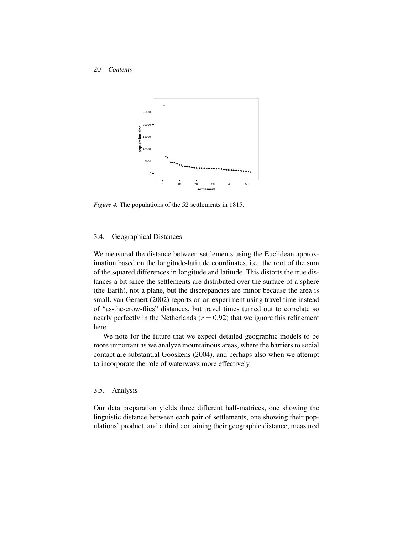

<span id="page-23-2"></span>*Figure 4.* The populations of the 52 settlements in 1815.

### <span id="page-23-0"></span>3.4. Geographical Distances

We measured the distance between settlements using the Euclidean approximation based on the longitude-latitude coordinates, i.e., the root of the sum of the squared differences in longitude and latitude. This distorts the true distances a bit since the settlements are distributed over the surface of a sphere (the Earth), not a plane, but the discrepancies are minor because the area is small. [van Gemert](#page-37-5) [\(2002\)](#page-37-5) reports on an experiment using travel time instead of "as-the-crow-flies" distances, but travel times turned out to correlate so nearly perfectly in the Netherlands  $(r = 0.92)$  that we ignore this refinement here.

We note for the future that we expect detailed geographic models to be more important as we analyze mountainous areas, where the barriers to social contact are substantial [Gooskens](#page-35-1) [\(2004\)](#page-35-1), and perhaps also when we attempt to incorporate the role of waterways more effectively.

### <span id="page-23-1"></span>3.5. Analysis

Our data preparation yields three different half-matrices, one showing the linguistic distance between each pair of settlements, one showing their populations' product, and a third containing their geographic distance, measured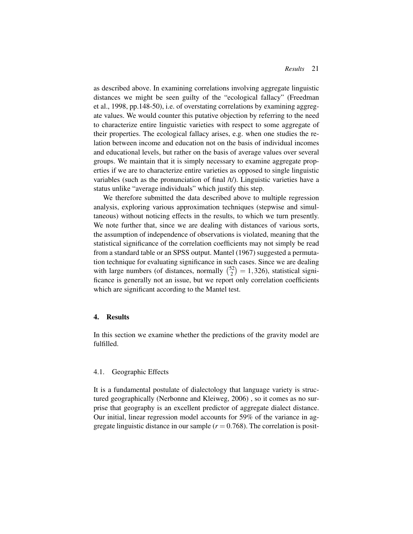as described above. In examining correlations involving aggregate linguistic distances we might be seen guilty of the "ecological fallacy" [\(Freedman](#page-34-9) [et al.,](#page-34-9) [1998,](#page-34-9) pp.148-50), i.e. of overstating correlations by examining aggregate values. We would counter this putative objection by referring to the need to characterize entire linguistic varieties with respect to some aggregate of their properties. The ecological fallacy arises, e.g. when one studies the relation between income and education not on the basis of individual incomes and educational levels, but rather on the basis of average values over several groups. We maintain that it is simply necessary to examine aggregate properties if we are to characterize entire varieties as opposed to single linguistic variables (such as the pronunciation of final /t/). Linguistic varieties have a status unlike "average individuals" which justify this step.

We therefore submitted the data described above to multiple regression analysis, exploring various approximation techniques (stepwise and simultaneous) without noticing effects in the results, to which we turn presently. We note further that, since we are dealing with distances of various sorts, the assumption of independence of observations is violated, meaning that the statistical significance of the correlation coefficients may not simply be read from a standard table or an SPSS output. [Mantel](#page-36-8) [\(1967\)](#page-36-8) suggested a permutation technique for evaluating significance in such cases. Since we are dealing with large numbers (of distances, normally  $\binom{52}{2}$  $\binom{52}{2}$  = 1,326), statistical significance is generally not an issue, but we report only correlation coefficients which are significant according to the Mantel test.

#### <span id="page-24-0"></span>4. Results

In this section we examine whether the predictions of the gravity model are fulfilled.

#### <span id="page-24-1"></span>4.1. Geographic Effects

It is a fundamental postulate of dialectology that language variety is structured geographically [\(Nerbonne and Kleiweg,](#page-36-9) [2006\)](#page-36-9) , so it comes as no surprise that geography is an excellent predictor of aggregate dialect distance. Our initial, linear regression model accounts for 59% of the variance in aggregate linguistic distance in our sample  $(r = 0.768)$ . The correlation is posit-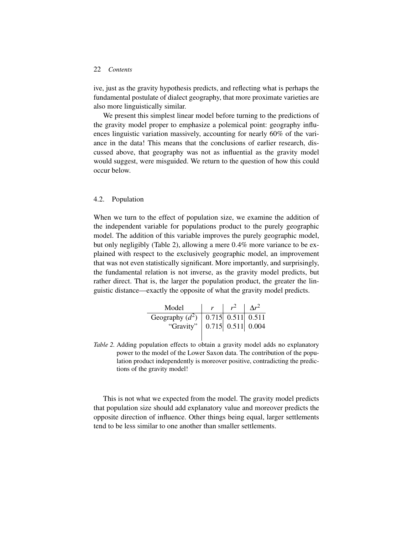ive, just as the gravity hypothesis predicts, and reflecting what is perhaps the fundamental postulate of dialect geography, that more proximate varieties are also more linguistically similar.

We present this simplest linear model before turning to the predictions of the gravity model proper to emphasize a polemical point: geography influences linguistic variation massively, accounting for nearly 60% of the variance in the data! This means that the conclusions of earlier research, discussed above, that geography was not as influential as the gravity model would suggest, were misguided. We return to the question of how this could occur below.

### <span id="page-25-0"></span>4.2. Population

When we turn to the effect of population size, we examine the addition of the independent variable for populations product to the purely geographic model. The addition of this variable improves the purely geographic model, but only negligibly (Table [2\)](#page-25-1), allowing a mere 0.4% more variance to be explained with respect to the exclusively geographic model, an improvement that was not even statistically significant. More importantly, and surprisingly, the fundamental relation is not inverse, as the gravity model predicts, but rather direct. That is, the larger the population product, the greater the linguistic distance—exactly the opposite of what the gravity model predicts.

| Model                                   | $r^2$ | $\Delta r^2$ |
|-----------------------------------------|-------|--------------|
| Geography $(d^2)$ 0.715 0.511 0.511     |       |              |
| "Gravity"   $0.715$   $0.511$   $0.004$ |       |              |

<span id="page-25-1"></span>*Table 2.* Adding population effects to obtain a gravity model adds no explanatory power to the model of the Lower Saxon data. The contribution of the population product independently is moreover positive, contradicting the predictions of the gravity model!

This is not what we expected from the model. The gravity model predicts that population size should add explanatory value and moreover predicts the opposite direction of influence. Other things being equal, larger settlements tend to be less similar to one another than smaller settlements.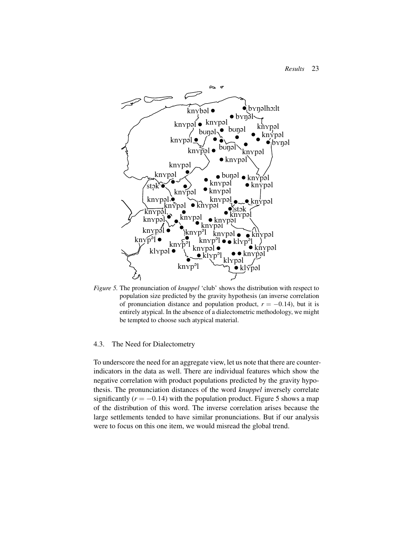

<span id="page-26-1"></span>*Figure 5.* The pronunciation of *knuppel* 'club' shows the distribution with respect to population size predicted by the gravity hypothesis (an inverse correlation of pronunciation distance and population product,  $r = -0.14$ ), but it is entirely atypical. In the absence of a dialectometric methodology, we might be tempted to choose such atypical material.

### <span id="page-26-0"></span>4.3. The Need for Dialectometry

To underscore the need for an aggregate view, let us note that there are counterindicators in the data as well. There are individual features which show the negative correlation with product populations predicted by the gravity hypothesis. The pronunciation distances of the word *knuppel* inversely correlate significantly  $(r = -0.14)$  with the population product. Figure [5](#page-26-1) shows a map of the distribution of this word. The inverse correlation arises because the large settlements tended to have similar pronunciations. But if our analysis were to focus on this one item, we would misread the global trend.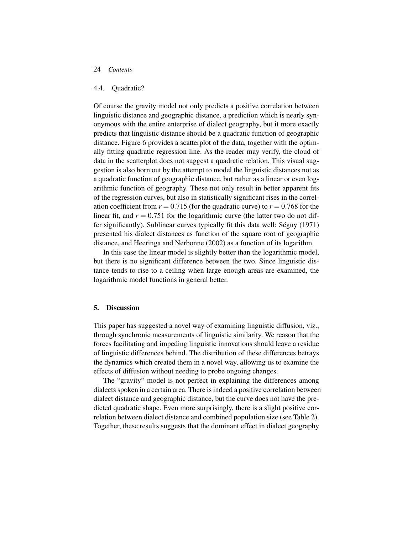#### <span id="page-27-0"></span>4.4. Quadratic?

Of course the gravity model not only predicts a positive correlation between linguistic distance and geographic distance, a prediction which is nearly synonymous with the entire enterprise of dialect geography, but it more exactly predicts that linguistic distance should be a quadratic function of geographic distance. Figure [6](#page-28-0) provides a scatterplot of the data, together with the optimally fitting quadratic regression line. As the reader may verify, the cloud of data in the scatterplot does not suggest a quadratic relation. This visual suggestion is also born out by the attempt to model the linguistic distances not as a quadratic function of geographic distance, but rather as a linear or even logarithmic function of geography. These not only result in better apparent fits of the regression curves, but also in statistically significant rises in the correlation coefficient from  $r = 0.715$  (for the quadratic curve) to  $r = 0.768$  for the linear fit, and  $r = 0.751$  for the logarithmic curve (the latter two do not dif-fer significantly). Sublinear curves typically fit this data well: Séguy [\(1971\)](#page-36-1) presented his dialect distances as function of the square root of geographic distance, and [Heeringa and Nerbonne](#page-35-0) [\(2002\)](#page-35-0) as a function of its logarithm.

In this case the linear model is slightly better than the logarithmic model, but there is no significant difference between the two. Since linguistic distance tends to rise to a ceiling when large enough areas are examined, the logarithmic model functions in general better.

### <span id="page-27-1"></span>5. Discussion

This paper has suggested a novel way of examining linguistic diffusion, viz., through synchronic measurements of linguistic similarity. We reason that the forces facilitating and impeding linguistic innovations should leave a residue of linguistic differences behind. The distribution of these differences betrays the dynamics which created them in a novel way, allowing us to examine the effects of diffusion without needing to probe ongoing changes.

The "gravity" model is not perfect in explaining the differences among dialects spoken in a certain area. There is indeed a positive correlation between dialect distance and geographic distance, but the curve does not have the predicted quadratic shape. Even more surprisingly, there is a slight positive correlation between dialect distance and combined population size (see Table [2\)](#page-25-1). Together, these results suggests that the dominant effect in dialect geography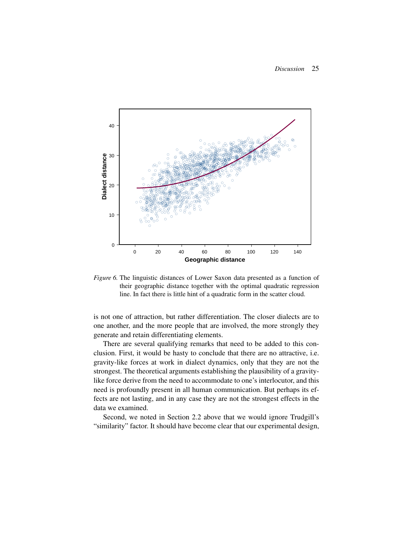

<span id="page-28-0"></span>*Figure 6.* The linguistic distances of Lower Saxon data presented as a function of their geographic distance together with the optimal quadratic regression line. In fact there is little hint of a quadratic form in the scatter cloud.

is not one of attraction, but rather differentiation. The closer dialects are to one another, and the more people that are involved, the more strongly they generate and retain differentiating elements.

There are several qualifying remarks that need to be added to this conclusion. First, it would be hasty to conclude that there are no attractive, i.e. gravity-like forces at work in dialect dynamics, only that they are not the strongest. The theoretical arguments establishing the plausibility of a gravitylike force derive from the need to accommodate to one's interlocutor, and this need is profoundly present in all human communication. But perhaps its effects are not lasting, and in any case they are not the strongest effects in the data we examined.

Second, we noted in Section [2.2](#page-9-0) above that we would ignore Trudgill's "similarity" factor. It should have become clear that our experimental design,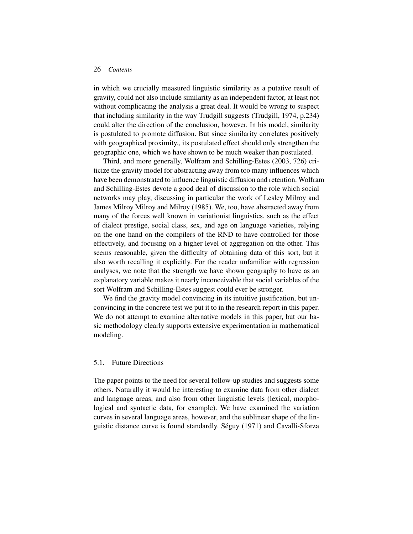in which we crucially measured linguistic similarity as a putative result of gravity, could not also include similarity as an independent factor, at least not without complicating the analysis a great deal. It would be wrong to suspect that including similarity in the way Trudgill suggests [\(Trudgill,](#page-37-0) [1974,](#page-37-0) p.234) could alter the direction of the conclusion, however. In his model, similarity is postulated to promote diffusion. But since similarity correlates positively with geographical proximity,, its postulated effect should only strengthen the geographic one, which we have shown to be much weaker than postulated.

Third, and more generally, [Wolfram and Schilling-Estes](#page-37-1) [\(2003,](#page-37-1) 726) criticize the gravity model for abstracting away from too many influences which have been demonstrated to influence linguistic diffusion and retention. Wolfram and Schilling-Estes devote a good deal of discussion to the role which social networks may play, discussing in particular the work of Lesley Milroy and James Milroy [Milroy and Milroy](#page-36-10) [\(1985\)](#page-36-10). We, too, have abstracted away from many of the forces well known in variationist linguistics, such as the effect of dialect prestige, social class, sex, and age on language varieties, relying on the one hand on the compilers of the RND to have controlled for those effectively, and focusing on a higher level of aggregation on the other. This seems reasonable, given the difficulty of obtaining data of this sort, but it also worth recalling it explicitly. For the reader unfamiliar with regression analyses, we note that the strength we have shown geography to have as an explanatory variable makes it nearly inconceivable that social variables of the sort [Wolfram and Schilling-Estes](#page-37-1) suggest could ever be stronger.

We find the gravity model convincing in its intuitive justification, but unconvincing in the concrete test we put it to in the research report in this paper. We do not attempt to examine alternative models in this paper, but our basic methodology clearly supports extensive experimentation in mathematical modeling.

### <span id="page-29-0"></span>5.1. Future Directions

The paper points to the need for several follow-up studies and suggests some others. Naturally it would be interesting to examine data from other dialect and language areas, and also from other linguistic levels (lexical, morphological and syntactic data, for example). We have examined the variation curves in several language areas, however, and the sublinear shape of the lin-guistic distance curve is found standardly. Séguy [\(1971\)](#page-36-1) and [Cavalli-Sforza](#page-34-10)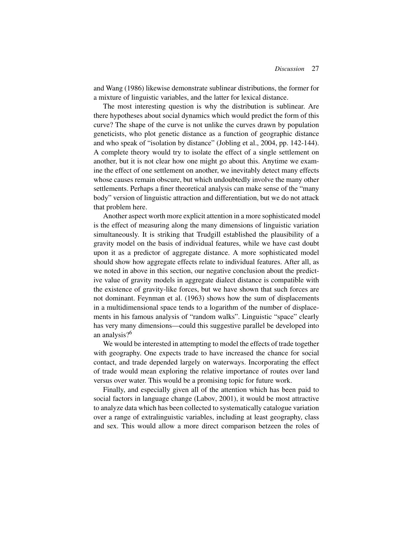[and Wang](#page-34-10) [\(1986\)](#page-34-10) likewise demonstrate sublinear distributions, the former for a mixture of linguistic variables, and the latter for lexical distance.

The most interesting question is why the distribution is sublinear. Are there hypotheses about social dynamics which would predict the form of this curve? The shape of the curve is not unlike the curves drawn by population geneticists, who plot genetic distance as a function of geographic distance and who speak of "isolation by distance" [\(Jobling et al.,](#page-35-8) [2004,](#page-35-8) pp. 142-144). A complete theory would try to isolate the effect of a single settlement on another, but it is not clear how one might go about this. Anytime we examine the effect of one settlement on another, we inevitably detect many effects whose causes remain obscure, but which undoubtedly involve the many other settlements. Perhaps a finer theoretical analysis can make sense of the "many body" version of linguistic attraction and differentiation, but we do not attack that problem here.

Another aspect worth more explicit attention in a more sophisticated model is the effect of measuring along the many dimensions of linguistic variation simultaneously. It is striking that Trudgill established the plausibility of a gravity model on the basis of individual features, while we have cast doubt upon it as a predictor of aggregate distance. A more sophisticated model should show how aggregate effects relate to individual features. After all, as we noted in above in this section, our negative conclusion about the predictive value of gravity models in aggregate dialect distance is compatible with the existence of gravity-like forces, but we have shown that such forces are not dominant. [Feynman et al.](#page-34-11) [\(1963\)](#page-34-11) shows how the sum of displacements in a multidimensional space tends to a logarithm of the number of displacements in his famous analysis of "random walks". Linguistic "space" clearly has very many dimensions—could this suggestive parallel be developed into an analysis?<sup>6</sup>

We would be interested in attempting to model the effects of trade together with geography. One expects trade to have increased the chance for social contact, and trade depended largely on waterways. Incorporating the effect of trade would mean exploring the relative importance of routes over land versus over water. This would be a promising topic for future work.

Finally, and especially given all of the attention which has been paid to social factors in language change [\(Labov,](#page-35-2) [2001\)](#page-35-2), it would be most attractive to analyze data which has been collected to systematically catalogue variation over a range of extralinguistic variables, including at least geography, class and sex. This would allow a more direct comparison betzeen the roles of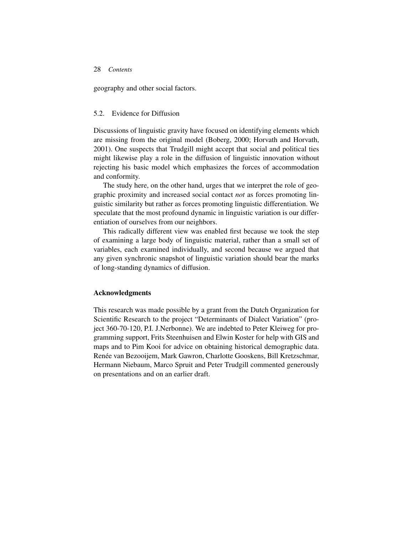geography and other social factors.

#### <span id="page-31-0"></span>5.2. Evidence for Diffusion

Discussions of linguistic gravity have focused on identifying elements which are missing from the original model [\(Boberg,](#page-34-7) [2000;](#page-34-7) [Horvath and Horvath,](#page-35-3) [2001\)](#page-35-3). One suspects that Trudgill might accept that social and political ties might likewise play a role in the diffusion of linguistic innovation without rejecting his basic model which emphasizes the forces of accommodation and conformity.

The study here, on the other hand, urges that we interpret the role of geographic proximity and increased social contact *not* as forces promoting linguistic similarity but rather as forces promoting linguistic differentiation. We speculate that the most profound dynamic in linguistic variation is our differentiation of ourselves from our neighbors.

This radically different view was enabled first because we took the step of examining a large body of linguistic material, rather than a small set of variables, each examined individually, and second because we argued that any given synchronic snapshot of linguistic variation should bear the marks of long-standing dynamics of diffusion.

### Acknowledgments

This research was made possible by a grant from the Dutch Organization for Scientific Research to the project "Determinants of Dialect Variation" (project 360-70-120, P.I. J.Nerbonne). We are indebted to Peter Kleiweg for programming support, Frits Steenhuisen and Elwin Koster for help with GIS and maps and to Pim Kooi for advice on obtaining historical demographic data. Renée van Bezooijem, Mark Gawron, Charlotte Gooskens, Bill Kretzschmar, Hermann Niebaum, Marco Spruit and Peter Trudgill commented generously on presentations and on an earlier draft.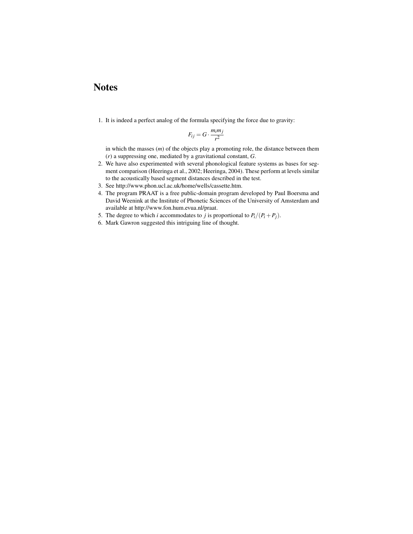# <span id="page-32-0"></span>**Notes**

1. It is indeed a perfect analog of the formula specifying the force due to gravity:

$$
F_{ij} = G \cdot \frac{m_i m_j}{r^2}
$$

in which the masses (*m*) of the objects play a promoting role, the distance between them (*r*) a suppressing one, mediated by a gravitational constant, *G*.

- 2. We have also experimented with several phonological feature systems as bases for segment comparison [\(Heeringa et al.,](#page-35-9) [2002;](#page-35-9) [Heeringa,](#page-35-4) [2004\)](#page-35-4). These perform at levels similar to the acoustically based segment distances described in the test.
- 3. See [h]( )ttp://www.phon.ucl.ac.uk/home/wells/cassette.htm.
- 4. The program PRAAT is a free public-domain program developed by Paul Boersma and David Weenink at the Institute of Phonetic Sciences of the University of Amsterdam and available at [h]( )ttp://www.fon.hum.evua.nl/praat.
- 5. The degree to which *i* accommodates to *j* is proportional to  $P_i/(P_i+P_j)$ .
- 6. Mark Gawron suggested this intriguing line of thought.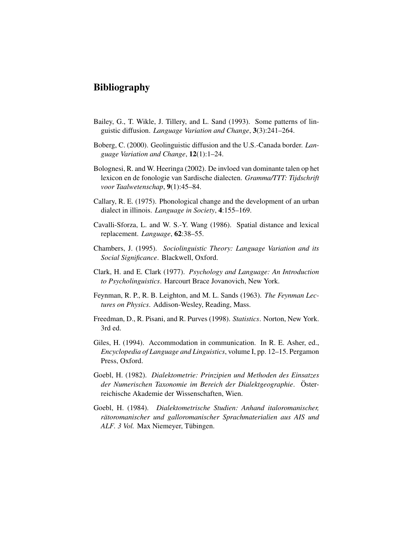# Bibliography

- <span id="page-34-6"></span>Bailey, G., T. Wikle, J. Tillery, and L. Sand (1993). Some patterns of linguistic diffusion. *Language Variation and Change*, 3(3):241–264.
- <span id="page-34-7"></span>Boberg, C. (2000). Geolinguistic diffusion and the U.S.-Canada border. *Language Variation and Change*, 12(1):1–24.
- <span id="page-34-8"></span>Bolognesi, R. and W. Heeringa (2002). De invloed van dominante talen op het lexicon en de fonologie van Sardische dialecten. *Gramma/TTT: Tijdschrift voor Taalwetenschap*, 9(1):45–84.
- <span id="page-34-5"></span>Callary, R. E. (1975). Phonological change and the development of an urban dialect in illinois. *Language in Society*, 4:155–169.
- <span id="page-34-10"></span>Cavalli-Sforza, L. and W. S.-Y. Wang (1986). Spatial distance and lexical replacement. *Language*, 62:38–55.
- <span id="page-34-2"></span>Chambers, J. (1995). *Sociolinguistic Theory: Language Variation and its Social Significance*. Blackwell, Oxford.
- <span id="page-34-3"></span>Clark, H. and E. Clark (1977). *Psychology and Language: An Introduction to Psycholinguistics*. Harcourt Brace Jovanovich, New York.
- <span id="page-34-11"></span>Feynman, R. P., R. B. Leighton, and M. L. Sands (1963). *The Feynman Lectures on Physics*. Addison-Wesley, Reading, Mass.
- <span id="page-34-9"></span>Freedman, D., R. Pisani, and R. Purves (1998). *Statistics*. Norton, New York. 3rd ed.
- <span id="page-34-4"></span>Giles, H. (1994). Accommodation in communication. In R. E. Asher, ed., *Encyclopedia of Language and Linguistics*, volume I, pp. 12–15. Pergamon Press, Oxford.
- <span id="page-34-0"></span>Goebl, H. (1982). *Dialektometrie: Prinzipien und Methoden des Einsatzes der Numerischen Taxonomie im Bereich der Dialektgeographie*. Oster- ¨ reichische Akademie der Wissenschaften, Wien.
- <span id="page-34-1"></span>Goebl, H. (1984). *Dialektometrische Studien: Anhand italoromanischer, rätoromanischer und galloromanischer Sprachmaterialien aus AIS und ALF. 3 Vol.* Max Niemeyer, Tübingen.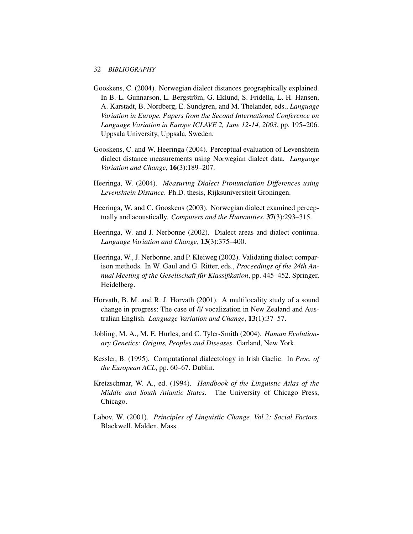#### 32 *BIBLIOGRAPHY*

- <span id="page-35-1"></span>Gooskens, C. (2004). Norwegian dialect distances geographically explained. In B.-L. Gunnarson, L. Bergström, G. Eklund, S. Fridella, L. H. Hansen, A. Karstadt, B. Nordberg, E. Sundgren, and M. Thelander, eds., *Language Variation in Europe. Papers from the Second International Conference on Language Variation in Europe ICLAVE 2, June 12-14, 2003*, pp. 195–206. Uppsala University, Uppsala, Sweden.
- <span id="page-35-5"></span>Gooskens, C. and W. Heeringa (2004). Perceptual evaluation of Levenshtein dialect distance measurements using Norwegian dialect data. *Language Variation and Change*, 16(3):189–207.
- <span id="page-35-4"></span>Heeringa, W. (2004). *Measuring Dialect Pronunciation Differences using Levenshtein Distance*. Ph.D. thesis, Rijksuniversiteit Groningen.
- <span id="page-35-7"></span>Heeringa, W. and C. Gooskens (2003). Norwegian dialect examined perceptually and acoustically. *Computers and the Humanities*, 37(3):293–315.
- <span id="page-35-0"></span>Heeringa, W. and J. Nerbonne (2002). Dialect areas and dialect continua. *Language Variation and Change*, 13(3):375–400.
- <span id="page-35-9"></span>Heeringa, W., J. Nerbonne, and P. Kleiweg (2002). Validating dialect comparison methods. In W. Gaul and G. Ritter, eds., *Proceedings of the 24th Annual Meeting of the Gesellschaft für Klassifikation*, pp. 445–452. Springer, Heidelberg.
- <span id="page-35-3"></span>Horvath, B. M. and R. J. Horvath (2001). A multilocality study of a sound change in progress: The case of /l/ vocalization in New Zealand and Australian English. *Language Variation and Change*, 13(1):37–57.
- <span id="page-35-8"></span>Jobling, M. A., M. E. Hurles, and C. Tyler-Smith (2004). *Human Evolutionary Genetics: Origins, Peoples and Diseases*. Garland, New York.
- <span id="page-35-6"></span>Kessler, B. (1995). Computational dialectology in Irish Gaelic. In *Proc. of the European ACL*, pp. 60–67. Dublin.
- Kretzschmar, W. A., ed. (1994). *Handbook of the Linguistic Atlas of the Middle and South Atlantic States*. The University of Chicago Press, Chicago.
- <span id="page-35-2"></span>Labov, W. (2001). *Principles of Linguistic Change. Vol.2: Social Factors*. Blackwell, Malden, Mass.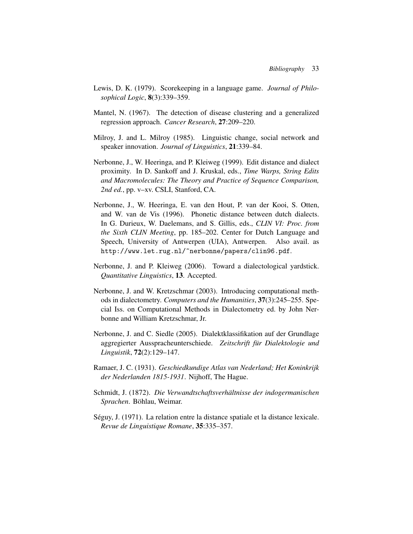- <span id="page-36-3"></span>Lewis, D. K. (1979). Scorekeeping in a language game. *Journal of Philosophical Logic*, 8(3):339–359.
- <span id="page-36-8"></span>Mantel, N. (1967). The detection of disease clustering and a generalized regression approach. *Cancer Research*, 27:209–220.
- <span id="page-36-10"></span>Milroy, J. and L. Milroy (1985). Linguistic change, social network and speaker innovation. *Journal of Linguistics*, 21:339–84.
- <span id="page-36-4"></span>Nerbonne, J., W. Heeringa, and P. Kleiweg (1999). Edit distance and dialect proximity. In D. Sankoff and J. Kruskal, eds., *Time Warps, String Edits and Macromolecules: The Theory and Practice of Sequence Comparison, 2nd ed.*, pp. v–xv. CSLI, Stanford, CA.
- <span id="page-36-5"></span>Nerbonne, J., W. Heeringa, E. van den Hout, P. van der Kooi, S. Otten, and W. van de Vis (1996). Phonetic distance between dutch dialects. In G. Durieux, W. Daelemans, and S. Gillis, eds., *CLIN VI: Proc. from the Sixth CLIN Meeting*, pp. 185–202. Center for Dutch Language and Speech, University of Antwerpen (UIA), Antwerpen. Also avail. as http://www.let.rug.nl/~nerbonne/papers/clin96.pdf.
- <span id="page-36-9"></span>Nerbonne, J. and P. Kleiweg (2006). Toward a dialectological yardstick. *Quantitative Linguistics*, 13. Accepted.
- <span id="page-36-0"></span>Nerbonne, J. and W. Kretzschmar (2003). Introducing computational methods in dialectometry. *Computers and the Humanities*, 37(3):245–255. Special Iss. on Computational Methods in Dialectometry ed. by John Nerbonne and William Kretzschmar, Jr.
- <span id="page-36-6"></span>Nerbonne, J. and C. Siedle (2005). Dialektklassifikation auf der Grundlage aggregierter Ausspracheunterschiede. *Zeitschrift fur Dialektologie und ¨ Linguistik*, 72(2):129–147.
- <span id="page-36-7"></span>Ramaer, J. C. (1931). *Geschiedkundige Atlas van Nederland; Het Koninkrijk der Nederlanden 1815-1931*. Nijhoff, The Hague.
- <span id="page-36-2"></span>Schmidt, J. (1872). *Die Verwandtschaftsverhaltnisse der indogermanischen ¨* Sprachen. Böhlau, Weimar.
- <span id="page-36-1"></span>Seguy, J. (1971). La relation entre la distance spatiale et la distance lexicale. ´ *Revue de Linguistique Romane*, 35:335–357.